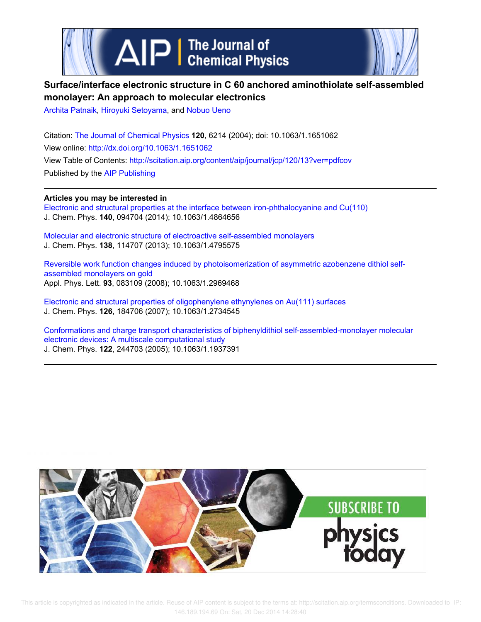



# **Surface/interface electronic structure in C 60 anchored aminothiolate self-assembled monolayer: An approach to molecular electronics**

Archita Patnaik, Hiroyuki Setoyama, and Nobuo Ueno

Citation: The Journal of Chemical Physics **120**, 6214 (2004); doi: 10.1063/1.1651062 View online: http://dx.doi.org/10.1063/1.1651062 View Table of Contents: http://scitation.aip.org/content/aip/journal/jcp/120/13?ver=pdfcov Published by the AIP Publishing

**Articles you may be interested in**

Electronic and structural properties at the interface between iron-phthalocyanine and Cu(110) J. Chem. Phys. **140**, 094704 (2014); 10.1063/1.4864656

Molecular and electronic structure of electroactive self-assembled monolayers J. Chem. Phys. **138**, 114707 (2013); 10.1063/1.4795575

Reversible work function changes induced by photoisomerization of asymmetric azobenzene dithiol selfassembled monolayers on gold Appl. Phys. Lett. **93**, 083109 (2008); 10.1063/1.2969468

Electronic and structural properties of oligophenylene ethynylenes on Au(111) surfaces J. Chem. Phys. **126**, 184706 (2007); 10.1063/1.2734545

Conformations and charge transport characteristics of biphenyldithiol self-assembled-monolayer molecular electronic devices: A multiscale computational study J. Chem. Phys. **122**, 244703 (2005); 10.1063/1.1937391

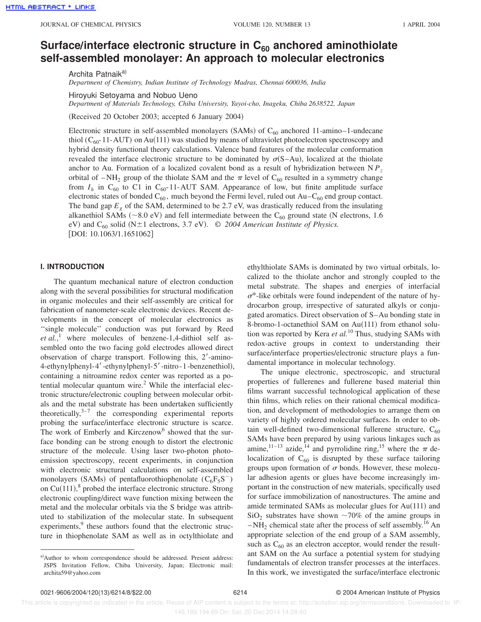# Surface/interface electronic structure in C<sub>60</sub> anchored aminothiolate **self-assembled monolayer: An approach to molecular electronics**

Archita Patnaik<sup>a)</sup>

*Department of Chemistry, Indian Institute of Technology Madras, Chennai 600036, India*

Hiroyuki Setoyama and Nobuo Ueno

*Department of Materials Technology, Chiba University, Yayoi-cho, Inageku, Chiba 2638522, Japan*

(Received 20 October 2003; accepted 6 January 2004)

Electronic structure in self-assembled monolayers (SAMs) of  $C_{60}$  anchored 11-amino–1-undecane thiol ( $C_{60}$ -11-AUT) on Au(111) was studied by means of ultraviolet photoelectron spectroscopy and hybrid density functional theory calculations. Valence band features of the molecular conformation revealed the interface electronic structure to be dominated by  $\sigma(S-Au)$ , localized at the thiolate anchor to Au. Formation of a localized covalent bond as a result of hybridization between N  $P_z$ orbital of  $-NH_2$  group of the thiolate SAM and the  $\pi$  level of C<sub>60</sub> resulted in a symmetry change from  $I_h$  in  $C_{60}$  to C1 in  $C_{60}$ -11-AUT SAM. Appearance of low, but finite amplitude surface electronic states of bonded  $C_{60}$ , much beyond the Fermi level, ruled out  $Au-C_{60}$  end group contact. The band gap  $E_g$  of the SAM, determined to be 2.7 eV, was drastically reduced from the insulating alkanethiol SAMs ( $\sim$ 8.0 eV) and fell intermediate between the C<sub>60</sub> ground state (N electrons, 1.6 eV) and C<sub>60</sub> solid (N $\pm$ 1 electrons, 3.7 eV). © *2004 American Institute of Physics.*  $[DOI: 10.1063/1.1651062]$ 

## **I. INTRODUCTION**

The quantum mechanical nature of electron conduction along with the several possibilities for structural modification in organic molecules and their self-assembly are critical for fabrication of nanometer-scale electronic devices. Recent developments in the concept of molecular electronics as "single molecule" conduction was put forward by Reed *et al.*, <sup>1</sup> where molecules of benzene-1,4-dithiol self assembled onto the two facing gold electrodes allowed direct observation of charge transport. Following this,  $2'$ -amino-4-ethynylphenyl-4'-ethynylphenyl-5'-nitro-1-benzenethiol), containing a nitroamine redox center was reported as a potential molecular quantum wire.<sup>2</sup> While the interfacial electronic structure/electronic coupling between molecular orbitals and the metal substrate has been undertaken sufficiently theoretically, $3^{-7}$  the corresponding experimental reports probing the surface/interface electronic structure is scarce. The work of Emberly and Kirczenow<sup>6</sup> showed that the surface bonding can be strong enough to distort the electronic structure of the molecule. Using laser two-photon photoemission spectroscopy, recent experiments, in conjunction with electronic structural calculations on self-assembled monolayers (SAMs) of pentafluorothiophenolate  $(C_6F_5S^-)$ on Cu $(111)$ ,<sup>8</sup> probed the interface electronic structure. Strong electronic coupling/direct wave function mixing between the metal and the molecular orbitals via the S bridge was attributed to stabilization of the molecular state. In subsequent experiments,<sup>9</sup> these authors found that the electronic structure in thiophenolate SAM as well as in octylthiolate and

ethylthiolate SAMs is dominated by two virtual orbitals, localized to the thiolate anchor and strongly coupled to the metal substrate. The shapes and energies of interfacial  $\sigma^*$ -like orbitals were found independent of the nature of hydrocarbon group, irrespective of saturated alkyls or conjugated aromatics. Direct observation of S–Au bonding state in 8-bromo-1-octanethiol SAM on Au(111) from ethanol solution was reported by Kera *et al.*<sup>10</sup> Thus, studying SAMs with redox-active groups in context to understanding their surface/interface properties/electronic structure plays a fundamental importance in molecular technology.

The unique electronic, spectroscopic, and structural properties of fullerenes and fullerene based material thin films warrant successful technological application of these thin films, which relies on their rational chemical modification, and development of methodologies to arrange them on variety of highly ordered molecular surfaces. In order to obtain well-defined two-dimensional fullerene structure,  $C_{60}$ SAMs have been prepared by using various linkages such as amine,<sup>11–13</sup> azide,<sup>14</sup> and pyrrolidine ring,<sup>15</sup> where the  $\pi$  delocalization of  $C_{60}$  is disrupted by these surface tailoring groups upon formation of  $\sigma$  bonds. However, these molecular adhesion agents or glues have become increasingly important in the construction of new materials, specifically used for surface immobilization of nanostructures. The amine and amide terminated SAMs as molecular glues for  $Au(111)$  and  $SiO<sub>2</sub>$  substrates have shown  $\sim$ 70% of the amine groups in  $-NH<sub>2</sub>$  chemical state after the process of self assembly.<sup>16</sup> An appropriate selection of the end group of a SAM assembly, such as  $C_{60}$  as an electron acceptor, would render the resultant SAM on the Au surface a potential system for studying fundamentals of electron transfer processes at the interfaces. In this work, we investigated the surface/interface electronic

 This article is copyrighted as indicated in the article. Reuse of AIP content is subject to the terms at: http://scitation.aip.org/termsconditions. Downloaded to IP: 146.189.194.69 On: Sat, 20 Dec 2014 14:28:40

a)Author to whom correspondence should be addressed. Present address: JSPS Invitation Fellow, Chiba University, Japan; Electronic mail: archita59@yahoo.com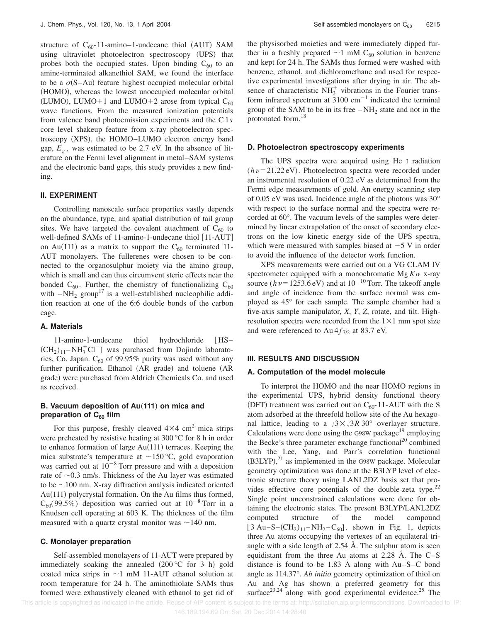structure of  $C_{60}$ -11-amino–1-undecane thiol (AUT) SAM using ultraviolet photoelectron spectroscopy (UPS) that probes both the occupied states. Upon binding  $C_{60}$  to an amine-terminated alkanethiol SAM, we found the interface to be a  $\sigma(S-Au)$  feature highest occupied molecular orbital (HOMO), whereas the lowest unoccupied molecular orbital (LUMO), LUMO+1 and LUMO+2 arose from typical  $C_{60}$ wave functions. From the measured ionization potentials from valence band photoemission experiments and the C 1*s* core level shakeup feature from x-ray photoelectron spectroscopy (XPS), the HOMO–LUMO electron energy band gap,  $E_g$ , was estimated to be 2.7 eV. In the absence of literature on the Fermi level alignment in metal–SAM systems and the electronic band gaps, this study provides a new finding.

# **II. EXPERIMENT**

Controlling nanoscale surface properties vastly depends on the abundance, type, and spatial distribution of tail group sites. We have targeted the covalent attachment of  $C_{60}$  to well-defined SAMs of 11-amino-1-undecane thiol [11-AUT] on Au(111) as a matrix to support the  $C_{60}$  terminated 11-AUT monolayers. The fullerenes were chosen to be connected to the organosulphur moiety via the amino group, which is small and can thus circumvent steric effects near the bonded  $C_{60}$ . Further, the chemistry of functionalizing  $C_{60}$ with  $-NH_2$  group<sup>17</sup> is a well-established nucleophilic addition reaction at one of the 6:6 double bonds of the carbon cage.

## **A. Materials**

11-amino-1-undecane thiol hydrochloride [HS–  $(CH<sub>2</sub>)<sub>11</sub>–NH<sub>3</sub><sup>+</sup>Cl<sup>-</sup>$ ] was purchased from Dojindo laboratories, Co. Japan.  $C_{60}$  of 99.95% purity was used without any further purification. Ethanol  $(AR\, grade)$  and toluene  $(AR\,$ grade) were purchased from Aldrich Chemicals Co. and used as received.

# **B. Vacuum deposition of Au(111) on mica and preparation of C<sup>60</sup> film**

For this purpose, freshly cleaved  $4\times4$  cm<sup>2</sup> mica strips were preheated by resistive heating at 300 °C for 8 h in order to enhance formation of large  $Au(111)$  terraces. Keeping the mica substrate's temperature at  $\sim$ 150 °C, gold evaporation was carried out at  $10^{-8}$  Torr pressure and with a deposition rate of  $\sim$ 0.3 nm/s. Thickness of the Au layer was estimated to be  $\sim$ 100 nm. X-ray diffraction analysis indicated oriented  $Au(111)$  polycrystal formation. On the Au films thus formed,  $C_{60}(99.5\%)$  deposition was carried out at  $10^{-8}$  Torr in a Knudsen cell operating at 603 K. The thickness of the film measured with a quartz crystal monitor was  $\sim$ 140 nm.

## **C. Monolayer preparation**

Self-assembled monolayers of 11-AUT were prepared by immediately soaking the annealed  $(200 °C)$  for 3 h) gold coated mica strips in  $\sim$ 1 mM 11-AUT ethanol solution at room temperature for 24 h. The aminothiolate SAMs thus formed were exhaustively cleaned with ethanol to get rid of the physisorbed moieties and were immediately dipped further in a freshly prepared  $\sim$ 1 mM C<sub>60</sub> solution in benzene and kept for 24 h. The SAMs thus formed were washed with benzene, ethanol, and dichloromethane and used for respective experimental investigations after drying in air. The absence of characteristic  $NH_3^+$  vibrations in the Fourier transform infrared spectrum at  $3100 \text{ cm}^{-1}$  indicated the terminal group of the SAM to be in its free  $-NH_2$  state and not in the protonated form.<sup>18</sup>

#### **D. Photoelectron spectroscopy experiments**

The UPS spectra were acquired using He I radiation  $(h\nu=21.22 \text{ eV})$ . Photoelectron spectra were recorded under an instrumental resolution of 0.22 eV as determined from the Fermi edge measurements of gold. An energy scanning step of 0.05 eV was used. Incidence angle of the photons was 30° with respect to the surface normal and the spectra were recorded at 60°. The vacuum levels of the samples were determined by linear extrapolation of the onset of secondary electrons on the low kinetic energy side of the UPS spectra, which were measured with samples biased at  $-5$  V in order to avoid the influence of the detector work function.

XPS measurements were carried out on a VG CLAM IV spectrometer equipped with a monochromatic  $Mg K\alpha$  x-ray source ( $h\nu$ =1253.6 eV) and at 10<sup>-10</sup> Torr. The takeoff angle and angle of incidence from the surface normal was employed as 45° for each sample. The sample chamber had a five-axis sample manipulator, *X*, *Y*, *Z*, rotate, and tilt. Highresolution spectra were recorded from the  $1\times1$  mm spot size and were referenced to Au  $4f_{7/2}$  at 83.7 eV.

### **III. RESULTS AND DISCUSSION**

## **A. Computation of the model molecule**

To interpret the HOMO and the near HOMO regions in the experimental UPS, hybrid density functional theory (DFT) treatment was carried out on  $C_{60}$ -11-AUT with the S atom adsorbed at the threefold hollow site of the Au hexagonal lattice, leading to a  $\sqrt{3} \times \sqrt{3}R$  30° overlayer structure. Calculations were done using the G98W package<sup>19</sup> employing the Becke's three parameter exchange functional<sup>20</sup> combined with the Lee, Yang, and Parr's correlation functional  $(B3LYP),<sup>21</sup>$  as implemented in the G98W package. Molecular geometry optimization was done at the B3LYP level of electronic structure theory using LANL2DZ basis set that provides effective core potentials of the double-zeta type.<sup>22</sup> Single point unconstrained calculations were done for obtaining the electronic states. The present B3LYP/LANL2DZ computed structure of the model compound  $[3 \text{ Au}-\text{S}-(\text{CH}_2)_{11}-\text{NH}_2-\text{C}_{60}]$ , shown in Fig. 1, depicts three Au atoms occupying the vertexes of an equilateral triangle with a side length of 2.54 Å. The sulphur atom is seen equidistant from the three Au atoms at 2.28 Å. The C–S distance is found to be 1.83 Å along with Au–S–C bond angle as 114.37°. *Ab initio* geometry optimization of thiol on Au and Ag has shown a preferred geometry for this surface<sup>23,24</sup> along with good experimental evidence.<sup>25</sup> The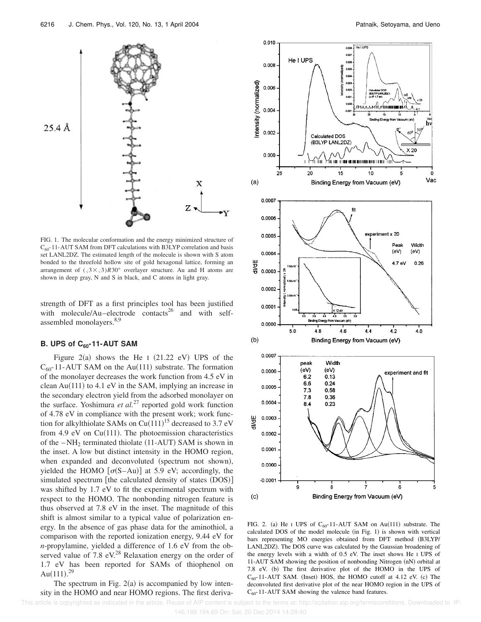

FIG. 1. The molecular conformation and the energy minimized structure of  $C_{60}$ -11-AUT SAM from DFT calculations with B3LYP correlation and basis set LANL2DZ. The estimated length of the molecule is shown with S atom bonded to the threefold hollow site of gold hexagonal lattice, forming an arrangement of  $(\sqrt{3} \times \sqrt{3})R30^\circ$  overlayer structure. Au and H atoms are shown in deep gray, N and S in black, and C atoms in light gray.

strength of DFT as a first principles tool has been justified with molecule/Au–electrode contacts<sup>26</sup> and with selfassembled monolayers.<sup>8,9</sup>

# **B. UPS of C60-11-AUT SAM**

Figure 2(a) shows the He I  $(21.22 \text{ eV})$  UPS of the  $C_{60}$ -11-AUT SAM on the Au(111) substrate. The formation of the monolayer decreases the work function from 4.5 eV in clean  $Au(111)$  to 4.1 eV in the SAM, implying an increase in the secondary electron yield from the adsorbed monolayer on the surface. Yoshimura *et al.*<sup>27</sup> reported gold work function of 4.78 eV in compliance with the present work; work function for alkylthiolate SAMs on  $Cu(111)^{15}$  decreased to 3.7 eV from 4.9 eV on  $Cu(111)$ . The photoemission characteristics of the  $-NH_2$  terminated thiolate (11-AUT) SAM is shown in the inset. A low but distinct intensity in the HOMO region, when expanded and deconvoluted (spectrum not shown), yielded the HOMO  $\lceil \sigma(S-Au) \rceil$  at 5.9 eV; accordingly, the simulated spectrum  $[the calculated density of states (DOS)]$ was shifted by 1.7 eV to fit the experimental spectrum with respect to the HOMO. The nonbonding nitrogen feature is thus observed at 7.8 eV in the inset. The magnitude of this shift is almost similar to a typical value of polarization energy. In the absence of gas phase data for the aminothiol, a comparison with the reported ionization energy, 9.44 eV for *n*-propylamine, yielded a difference of 1.6 eV from the observed value of 7.8  $eV<sup>28</sup>$  Relaxation energy on the order of 1.7 eV has been reported for SAMs of thiophenol on Au $(111).^{29}$ 

The spectrum in Fig.  $2(a)$  is accompanied by low intensity in the HOMO and near HOMO regions. The first deriva-



FIG. 2. (a) He I UPS of  $C_{60}$ -11-AUT SAM on Au(111) substrate. The calculated DOS of the model molecule  $(in Fig. 1)$  is shown with vertical bars representing MO energies obtained from DFT method (B3LYP/ LANL2DZ). The DOS curve was calculated by the Gaussian broadening of the energy levels with a width of 0.5 eV. The inset shows He I UPS of 11-AUT SAM showing the position of nonbonding Nitrogen (nN) orbital at 7.8 eV. (b) The first derivative plot of the HOMO in the UPS of  $C_{60}$ -11-AUT SAM. (Inset) HOS, the HOMO cutoff at 4.12 eV. (c) The deconvoluted first derivative plot of the near HOMO region in the UPS of  $C_{60}$ -11-AUT SAM showing the valence band features.

This article is copyrighted as indicated in the article. Reuse of AIP content is subject to the terms at: http://scitation.aip.org/termsconditions. Downloaded to IP: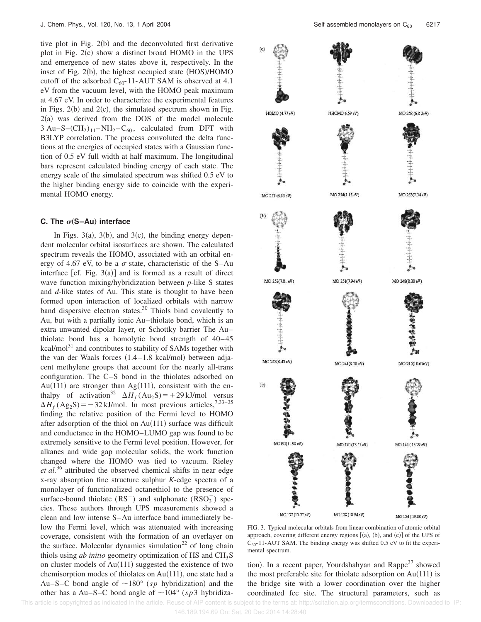tive plot in Fig.  $2(b)$  and the deconvoluted first derivative plot in Fig.  $2(c)$  show a distinct broad HOMO in the UPS and emergence of new states above it, respectively. In the inset of Fig.  $2(b)$ , the highest occupied state  $(HOS)/HOMO$ cutoff of the adsorbed  $C_{60}$ -11-AUT SAM is observed at 4.1 eV from the vacuum level, with the HOMO peak maximum at 4.67 eV. In order to characterize the experimental features in Figs.  $2(b)$  and  $2(c)$ , the simulated spectrum shown in Fig.  $2(a)$  was derived from the DOS of the model molecule  $3 \text{ Au}-\text{S}-(\text{CH}_2)_{11}-\text{NH}_2-\text{C}_{60}$ , calculated from DFT with B3LYP correlation. The process convoluted the delta functions at the energies of occupied states with a Gaussian function of 0.5 eV full width at half maximum. The longitudinal bars represent calculated binding energy of each state. The energy scale of the simulated spectrum was shifted 0.5 eV to the higher binding energy side to coincide with the experimental HOMO energy.

## **C.** The  $\sigma$ (S–Au) interface

In Figs. 3(a), 3(b), and 3(c), the binding energy dependent molecular orbital isosurfaces are shown. The calculated spectrum reveals the HOMO, associated with an orbital energy of 4.67 eV, to be a  $\sigma$  state, characteristic of the S–Au interface  $[cf. Fig. 3(a)]$  and is formed as a result of direct wave function mixing/hybridization between *p*-like S states and *d*-like states of Au. This state is thought to have been formed upon interaction of localized orbitals with narrow band dispersive electron states.<sup>30</sup> Thiols bind covalently to Au, but with a partially ionic Au–thiolate bond, which is an extra unwanted dipolar layer, or Schottky barrier The Au– thiolate bond has a homolytic bond strength of 40–45 kcal/mol $^{31}$  and contributes to stability of SAMs together with the van der Waals forces  $(1.4-1.8 \text{ kcal/mol})$  between adjacent methylene groups that account for the nearly all-trans configuration. The C–S bond in the thiolates adsorbed on Au(111) are stronger than Ag(111), consistent with the enthalpy of activation<sup>32</sup>  $\Delta H_f (\text{Au}_2 \text{S}) = +29 \text{ kJ/mol}$  versus  $\Delta H_f$  (Ag<sub>2</sub>S) = -32 kJ/mol. In most previous articles,<sup>7,33–35</sup> finding the relative position of the Fermi level to HOMO after adsorption of the thiol on  $Au(111)$  surface was difficult and conductance in the HOMO–LUMO gap was found to be extremely sensitive to the Fermi level position. However, for alkanes and wide gap molecular solids, the work function changed where the HOMO was tied to vacuum. Rieley *et al.*<sup>36</sup> attributed the observed chemical shifts in near edge x-ray absorption fine structure sulphur *K*-edge spectra of a monolayer of functionalized octanethiol to the presence of surface-bound thiolate  $(RS^{-})$  and sulphonate  $(RSO_3^-)$  species. These authors through UPS measurements showed a clean and low intense S–Au interface band immediately below the Fermi level, which was attenuated with increasing coverage, consistent with the formation of an overlayer on the surface. Molecular dynamics simulation<sup>22</sup> of long chain thiols using *ab initio* geometry optimization of HS and CH<sub>3</sub>S on cluster models of  $Au(111)$  suggested the existence of two chemisorption modes of thiolates on  $Au(111)$ , one state had a Au–S–C bond angle of  $\sim$ 180° (*sp* hybridization) and the other has a Au–S–C bond angle of  $\sim$ 104° (*sp*3 hybridiza-



FIG. 3. Typical molecular orbitals from linear combination of atomic orbital approach, covering different energy regions  $[(a), (b),$  and  $(c)]$  of the UPS of  $C_{60}$ -11-AUT SAM. The binding energy was shifted 0.5 eV to fit the experimental spectrum.

tion). In a recent paper, Yourdshahyan and Rappe<sup>37</sup> showed the most preferable site for thiolate adsorption on  $Au(111)$  is the bridge site with a lower coordination over the higher coordinated fcc site. The structural parameters, such as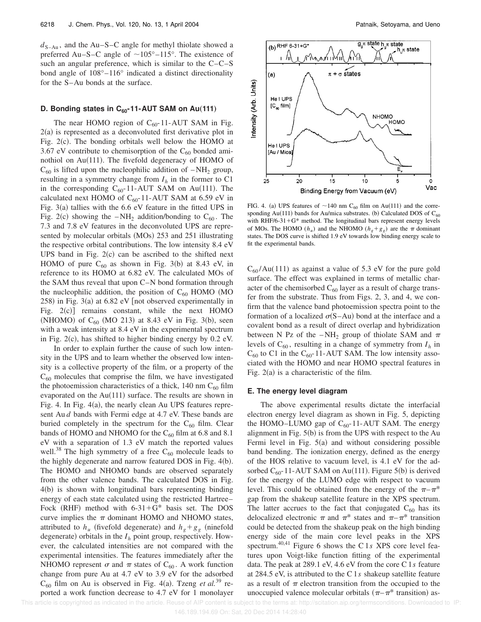$d_{S-Au}$ , and the Au–S–C angle for methyl thiolate showed a preferred Au–S–C angle of  $\sim 105^{\circ}$ –115°. The existence of such an angular preference, which is similar to the C–C–S bond angle of 108°–116° indicated a distinct directionality for the S–Au bonds at the surface.

## **D. Bonding states in C<sub>60</sub>-11-AUT SAM on Au(111)**

The near HOMO region of  $C_{60}$ -11-AUT SAM in Fig.  $2(a)$  is represented as a deconvoluted first derivative plot in Fig.  $2(c)$ . The bonding orbitals well below the HOMO at 3.67 eV contribute to chemisorption of the  $C_{60}$  bonded aminothiol on  $Au(111)$ . The fivefold degeneracy of HOMO of  $C_{60}$  is lifted upon the nucleophilic addition of  $-NH_2$  group, resulting in a symmetry change from  $I_h$  in the former to C1 in the corresponding  $C_{60}$ -11-AUT SAM on Au(111). The calculated next HOMO of  $C_{60}$ -11-AUT SAM at 6.59 eV in Fig.  $3(a)$  tallies with the 6.6 eV feature in the fitted UPS in Fig. 2(c) showing the  $-NH_2$  addition/bonding to C<sub>60</sub>. The 7.3 and 7.8 eV features in the deconvoluted UPS are represented by molecular orbitals  $(MOs)$  253 and 251 illustrating the respective orbital contributions. The low intensity 8.4 eV UPS band in Fig.  $2(c)$  can be ascribed to the shifted next HOMO of pure  $C_{60}$  as shown in Fig. 3(b) at 8.43 eV, in reference to its HOMO at 6.82 eV. The calculated MOs of the SAM thus reveal that upon C–N bond formation through the nucleophilic addition, the position of  $C_{60}$  HOMO (MO  $258$ ) in Fig.  $3(a)$  at 6.82 eV [not observed experimentally in Fig.  $2(c)$ ] remains constant, while the next HOMO (NHOMO) of  $C_{60}$  (MO 213) at 8.43 eV in Fig. 3(b), seen with a weak intensity at 8.4 eV in the experimental spectrum in Fig.  $2(c)$ , has shifted to higher binding energy by 0.2 eV.

In order to explain further the cause of such low intensity in the UPS and to learn whether the observed low intensity is a collective property of the film, or a property of the  $C_{60}$  molecules that comprise the film, we have investigated the photoemission characteristics of a thick, 140 nm  $C_{60}$  film evaporated on the  $Au(111)$  surface. The results are shown in Fig. 4. In Fig.  $4(a)$ , the nearly clean Au UPS features represent Au *d* bands with Fermi edge at 4.7 eV. These bands are buried completely in the spectrum for the  $C_{60}$  film. Clear bands of HOMO and NHOMO for the  $C_{60}$  film at 6.8 and 8.1 eV with a separation of 1.3 eV match the reported values well.<sup>38</sup> The high symmetry of a free  $C_{60}$  molecule leads to the highly degenerate and narrow featured DOS in Fig.  $4(b)$ . The HOMO and NHOMO bands are observed separately from the other valence bands. The calculated DOS in Fig.  $4(b)$  is shown with longitudinal bars representing binding energy of each state calculated using the restricted Hartree– Fock (RHF) method with  $6-31+G^*$  basis set. The DOS curve implies the  $\pi$  dominant HOMO and NHOMO states, attributed to  $h_u$  (fivefold degenerate) and  $h_g + g_g$  (ninefold degenerate) orbitals in the  $I_h$  point group, respectively. However, the calculated intensities are not compared with the experimental intensities. The features immediately after the NHOMO represent  $\sigma$  and  $\pi$  states of C<sub>60</sub>. A work function change from pure Au at 4.7 eV to 3.9 eV for the adsorbed  $C_{60}$  film on Au is observed in Fig. 4(a). Tzeng *et al.*<sup>39</sup> reported a work function decrease to 4.7 eV for 1 monolayer



FIG. 4. (a) UPS features of  $\sim$ 140 nm C<sub>60</sub> film on Au(111) and the corresponding Au(111) bands for Au/mica substrates. (b) Calculated DOS of  $C_{60}$ with RHF/6-31+ $G^*$  method. The longitudinal bars represent energy levels of MOs. The HOMO ( $h_u$ ) and the NHOMO ( $h_g + g_g$ ) are the  $\pi$  dominant states. The DOS curve is shifted 1.9 eV towards low binding energy scale to fit the experimental bands.

 $C_{60}$ /Au(111) as against a value of 5.3 eV for the pure gold surface. The effect was explained in terms of metallic character of the chemisorbed  $C_{60}$  layer as a result of charge transfer from the substrate. Thus from Figs. 2, 3, and 4, we confirm that the valence band photoemission spectra point to the formation of a localized  $\sigma(S-Au)$  bond at the interface and a covalent bond as a result of direct overlap and hybridization between N Pz of the  $-NH_2$  group of thiolate SAM and  $\pi$ levels of  $C_{60}$ , resulting in a change of symmetry from  $I_h$  in  $C_{60}$  to C1 in the  $C_{60}$ -11-AUT SAM. The low intensity associated with the HOMO and near HOMO spectral features in Fig.  $2(a)$  is a characteristic of the film.

## **E. The energy level diagram**

The above experimental results dictate the interfacial electron energy level diagram as shown in Fig. 5, depicting the HOMO–LUMO gap of  $C_{60}$ -11-AUT SAM. The energy alignment in Fig.  $5(b)$  is from the UPS with respect to the Au Fermi level in Fig.  $5(a)$  and without considering possible band bending. The ionization energy, defined as the energy of the HOS relative to vacuum level, is 4.1 eV for the adsorbed  $C_{60}$ -11-AUT SAM on Au(111). Figure 5(b) is derived for the energy of the LUMO edge with respect to vacuum level. This could be obtained from the energy of the  $\pi-\pi^*$ gap from the shakeup satellite feature in the XPS spectrum. The latter accrues to the fact that conjugated  $C_{60}$  has its delocalized electronic  $\pi$  and  $\pi^*$  states and  $\pi - \pi^*$  transition could be detected from the shakeup peak on the high binding energy side of the main core level peaks in the XPS spectrum.40,41 Figure 6 shows the C 1*s* XPS core level features upon Voigt-like function fitting of the experimental data. The peak at 289.1 eV, 4.6 eV from the core C 1*s* feature at 284.5 eV, is attributed to the C 1*s* shakeup satellite feature as a result of  $\pi$  electron transition from the occupied to the unoccupied valence molecular orbitals  $(\pi-\pi^*$  transition) as-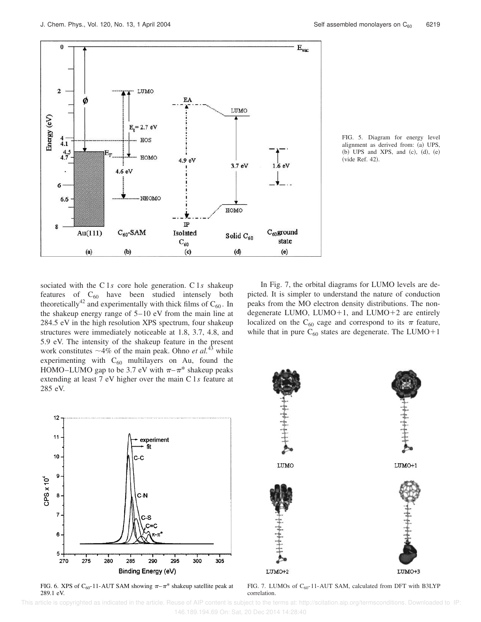

FIG. 5. Diagram for energy level alignment as derived from: (a) UPS, (b) UPS and XPS, and  $(c)$ ,  $(d)$ ,  $(e)$ (vide Ref. 42).

sociated with the C 1*s* core hole generation. C 1*s* shakeup features of  $C_{60}$  have been studied intensely both theoretically<sup>42</sup> and experimentally with thick films of  $C_{60}$ . In the shakeup energy range of 5–10 eV from the main line at 284.5 eV in the high resolution XPS spectrum, four shakeup structures were immediately noticeable at 1.8, 3.7, 4.8, and 5.9 eV. The intensity of the shakeup feature in the present work constitutes  $\sim$ 4% of the main peak. Ohno *et al.*<sup>43</sup> while experimenting with  $C_{60}$  multilayers on Au, found the HOMO–LUMO gap to be 3.7 eV with  $\pi-\pi^*$  shakeup peaks extending at least 7 eV higher over the main C 1*s* feature at 285 eV.

 $12$ 11 experiment fit  $10$ эc 9 CPS  $\times 10^4$ 8 C-N 7 6  $\mathbf 5$ 280 285 290 300 305 275 295 270 Binding Energy (eV)

FIG. 6. XPS of C<sub>60</sub>-11-AUT SAM showing  $\pi-\pi^*$  shakeup satellite peak at 289.1 eV.

In Fig. 7, the orbital diagrams for LUMO levels are depicted. It is simpler to understand the nature of conduction peaks from the MO electron density distributions. The nondegenerate LUMO, LUMO+1, and LUMO+2 are entirely localized on the C<sub>60</sub> cage and correspond to its  $\pi$  feature, while that in pure  $C_{60}$  states are degenerate. The LUMO+1



FIG. 7. LUMOs of C<sub>60</sub>-11-AUT SAM, calculated from DFT with B3LYP correlation.

 This article is copyrighted as indicated in the article. Reuse of AIP content is subject to the terms at: http://scitation.aip.org/termsconditions. Downloaded to IP: 146.189.194.69 On: Sat, 20 Dec 2014 14:28:40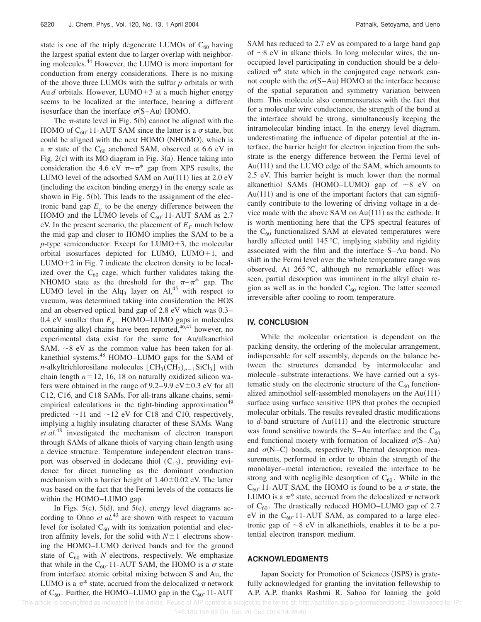state is one of the triply degenerate LUMOs of  $C_{60}$  having the largest spatial extent due to larger overlap with neighboring molecules.<sup>44</sup> However, the LUMO is more important for conduction from energy considerations. There is no mixing of the above three LUMOs with the sulfur *p* orbitals or with Au *d* orbitals. However, LUMO $+3$  at a much higher energy seems to be localized at the interface, bearing a different isosurface than the interface  $\sigma(S-Au)$  HOMO.

The  $\pi$ -state level in Fig. 5(b) cannot be aligned with the HOMO of  $C_{60}$ -11-AUT SAM since the latter is a  $\sigma$  state, but could be aligned with the next HOMO (NHOMO), which is a  $\pi$  state of the C<sub>60</sub> anchored SAM, observed at 6.6 eV in Fig.  $2(c)$  with its MO diagram in Fig.  $3(a)$ . Hence taking into consideration the 4.6 eV  $\pi-\pi^*$  gap from XPS results, the LUMO level of the adsorbed SAM on  $Au(111)$  lies at 2.0 eV (including the exciton binding energy) in the energy scale as shown in Fig.  $5(b)$ . This leads to the assignment of the electronic band gap  $E<sub>g</sub>$  to be the energy difference between the HOMO and the LUMO levels of  $C_{60}$ -11-AUT SAM as 2.7 eV. In the present scenario, the placement of  $E_F$  much below the mid gap and closer to HOMO implies the SAM to be a *p*-type semiconductor. Except for  $LUMO+3$ , the molecular orbital isosurfaces depicted for LUMO, LUMO $+1$ , and LUMO $+2$  in Fig. 7 indicate the electron density to be localized over the  $C_{60}$  cage, which further validates taking the NHOMO state as the threshold for the  $\pi-\pi^*$  gap. The LUMO level in the Alq<sub>3</sub> layer on Al,<sup>45</sup> with respect to vacuum, was determined taking into consideration the HOS and an observed optical band gap of 2.8 eV which was 0.3– 0.4 eV smaller than *E<sup>g</sup>* . HOMO–LUMO gaps in molecules containing alkyl chains have been reported,  $46,47$  however, no experimental data exist for the same for Au/alkanethiol SAM.  $\sim$ 8 eV as the common value has been taken for alkanethiol systems.<sup>48</sup> HOMO–LUMO gaps for the SAM of *n*-alkyltrichlorosilane molecules  $[CH_3(CH_2)_{n-1}SiCl_3]$  with chain length  $n=12$ , 16, 18 on naturally oxidized silicon wafers were obtained in the range of  $9.2-9.9 \text{ eV} \pm 0.3 \text{ eV}$  for all C12, C16, and C18 SAMs. For all-trans alkane chains, semiempirical calculations in the tight-binding approximation<sup>49</sup> predicted  $\sim$ 11 and  $\sim$ 12 eV for C18 and C10, respectively, implying a highly insulating character of these SAMs. Wang *et al.*<sup>48</sup> investigated the mechanism of electron transport through SAMs of alkane thiols of varying chain length using a device structure. Temperature independent electron transport was observed in dodecane thiol  $(C_{12})$ , providing evidence for direct tunneling as the dominant conduction mechanism with a barrier height of  $1.40\pm0.02$  eV. The latter was based on the fact that the Fermi levels of the contacts lie within the HOMO–LUMO gap.

In Figs.  $5(c)$ ,  $5(d)$ , and  $5(e)$ , energy level diagrams according to Ohno *et al.*<sup>43</sup> are shown with respect to vacuum level for isolated  $C_{60}$  with its ionization potential and electron affinity levels, for the solid with  $N\pm1$  electrons showing the HOMO–LUMO derived bands and for the ground state of  $C_{60}$  with *N* electrons, respectively. We emphasize that while in the C<sub>60</sub>-11-AUT SAM, the HOMO is a  $\sigma$  state from interface atomic orbital mixing between S and Au, the LUMO is a  $\pi^*$  state, accrued from the delocalized  $\pi$  network of  $C_{60}$ . Further, the HOMO–LUMO gap in the  $C_{60}$ -11-AUT SAM has reduced to 2.7 eV as compared to a large band gap of  $\sim$ 8 eV in alkane thiols. In long molecular wires, the unoccupied level participating in conduction should be a delocalized  $\pi^*$  state which in the conjugated cage network cannot couple with the  $\sigma$ (S–Au) HOMO at the interface because of the spatial separation and symmetry variation between them. This molecule also commensurates with the fact that for a molecular wire conductance, the strength of the bond at the interface should be strong, simultaneously keeping the intramolecular binding intact. In the energy level diagram, underestimating the influence of dipolar potential at the interface, the barrier height for electron injection from the substrate is the energy difference between the Fermi level of  $Au(111)$  and the LUMO edge of the SAM, which amounts to 2.5 eV. This barrier height is much lower than the normal alkanethiol SAMs (HOMO–LUMO) gap of  $\sim 8$  eV on Au $(111)$  and is one of the important factors that can significantly contribute to the lowering of driving voltage in a device made with the above SAM on  $Au(111)$  as the cathode. It is worth mentioning here that the UPS spectral features of the  $C_{60}$  functionalized SAM at elevated temperatures were hardly affected until 145 °C, implying stability and rigidity associated with the film and the interface S–Au bond. No shift in the Fermi level over the whole temperature range was observed. At 265 °C, although no remarkable effect was seen, partial desorption was imminent in the alkyl chain region as well as in the bonded  $C_{60}$  region. The latter seemed irreversible after cooling to room temperature.

## **IV. CONCLUSION**

While the molecular orientation is dependent on the packing density, the ordering of the molecular arrangement, indispensable for self assembly, depends on the balance between the structures demanded by intermolecular and molecule–substrate interactions. We have carried out a systematic study on the electronic structure of the  $C_{60}$  functionalized aminothiol self-assembled monolayers on the  $Au(111)$ surface using surface sensitive UPS that probes the occupied molecular orbitals. The results revealed drastic modifications to  $d$ -band structure of Au $(111)$  and the electronic structure was found sensitive towards the S–Au interface and the  $C_{60}$ end functional moiety with formation of localized  $\sigma(S-Au)$ and  $\sigma(N-C)$  bonds, respectively. Thermal desorption measurements, performed in order to obtain the strength of the monolayer–metal interaction, revealed the interface to be strong and with negligible desorption of  $C_{60}$ . While in the  $C_{60}$ -11-AUT SAM, the HOMO is found to be a  $\sigma$  state, the LUMO is a  $\pi^*$  state, accrued from the delocalized  $\pi$  network of  $C_{60}$ . The drastically reduced HOMO–LUMO gap of 2.7 eV in the  $C_{60}$ -11-AUT SAM, as compared to a large electronic gap of  $\sim$ 8 eV in alkanethiols, enables it to be a potential electron transport medium.

## **ACKNOWLEDGMENTS**

Japan Society for Promotion of Sciences (JSPS) is gratefully acknowledged for granting the invitation fellowship to A.P. A.P. thanks Rashmi R. Sahoo for loaning the gold